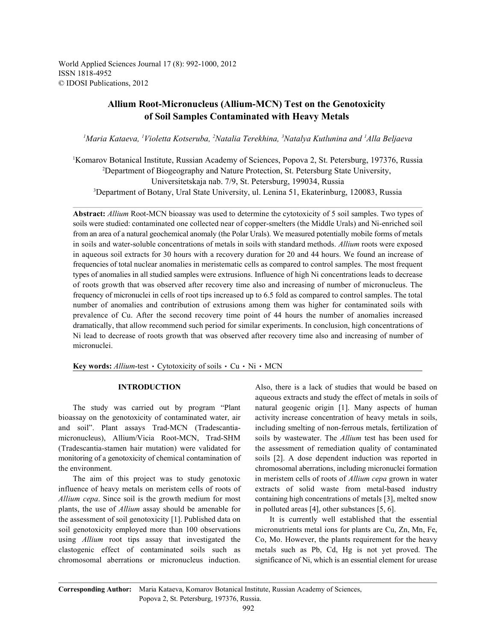World Applied Sciences Journal 17 (8): 992-1000, 2012 ISSN 1818-4952 © IDOSI Publications, 2012

# **Allium Root-Micronucleus (Allium-MCN) Test on the Genotoxicity of Soil Samples Contaminated with Heavy Metals**

<sup>1</sup> Maria Kataeva, <sup>1</sup> Violetta Kotseruba, <sup>2</sup> Natalia Terekhina, <sup>3</sup> Natalya Kutlunina and <sup>1</sup> Alla Beljaeva

<sup>1</sup>Komarov Botanical Institute, Russian Academy of Sciences, Popova 2, St. Petersburg, 197376, Russia <sup>2</sup>Department of Biogeography and Nature Protection, St. Petersburg State University, Universitetskaja nab. 7/9, St. Petersburg, 199034, Russia <sup>3</sup>Department of Botany, Ural State University, ul. Lenina 51, Ekaterinburg, 120083, Russia

**Abstract:** *Allium* Root-MCN bioassay was used to determine the cytotoxicity of 5 soil samples. Two types of soils were studied: contaminated one collected near of copper-smelters (the Middle Urals) and Ni-enriched soil from an area of a natural geochemical anomaly (the Polar Urals). We measured potentially mobile forms of metals in soils and water-soluble concentrations of metals in soils with standard methods. *Allium* roots were exposed in aqueous soil extracts for 30 hours with a recovery duration for 20 and 44 hours. We found an increase of frequencies of total nuclear anomalies in meristematic cells as compared to control samples. The most frequent types of anomalies in all studied samples were extrusions. Influence of high Ni concentrations leads to decrease of roots growth that was observed after recovery time also and increasing of number of micronucleus. The frequency of micronuclei in cells of root tips increased up to 6.5 fold as compared to control samples. The total number of anomalies and contribution of extrusions among them was higher for contaminated soils with prevalence of Cu. After the second recovery time point of 44 hours the number of anomalies increased dramatically, that allow recommend such period for similar experiments. In conclusion, high concentrations of Ni lead to decrease of roots growth that was observed after recovery time also and increasing of number of micronuclei.

**Key words:**  $\text{Allium-test}$  · Cytotoxicity of soils · Cu · Ni · MCN

bioassay on the genotoxicity of contaminated water, air activity increase concentration of heavy metals in soils, and soil". Plant assays Trad-MCN (Tradescantia- including smelting of non-ferrous metals, fertilization of micronucleus), Allium/Vicia Root-MCN, Trad-SHM soils by wastewater. The *Allium* test has been used for (Tradescantia-stamen hair mutation) were validated for the assessment of remediation quality of contaminated monitoring of a genotoxicity of chemical contamination of soils [2]. A dose dependent induction was reported in the environment. chromosomal aberrations, including micronuclei formation

influence of heavy metals on meristem cells of roots of extracts of solid waste from metal-based industry *Allium cepa*. Since soil is the growth medium for most containing high concentrations of metals [3], melted snow plants, the use of *Allium* assay should be amenable for in polluted areas [4], other substances [5, 6]. the assessment of soil genotoxicity [1]. Published data on It is currently well established that the essential soil genotoxicity employed more than 100 observations micronutrients metal ions for plants are Cu, Zn, Mn, Fe, using *Allium* root tips assay that investigated the Co, Mo. However, the plants requirement for the heavy clastogenic effect of contaminated soils such as metals such as Pb, Cd, Hg is not yet proved. The chromosomal aberrations or micronucleus induction. significance of Ni, which is an essential element for urease

**INTRODUCTION** Also, there is a lack of studies that would be based on The study was carried out by program "Plant natural geogenic origin [1]. Many aspects of human The aim of this project was to study genotoxic in meristem cells of roots of *Allium cepa* grown in water aqueous extracts and study the effect of metals in soils of

**Corresponding Author:** Maria Kataeva, Komarov Botanical Institute, Russian Academy of Sciences, Popova 2, St. Petersburg, 197376, Russia.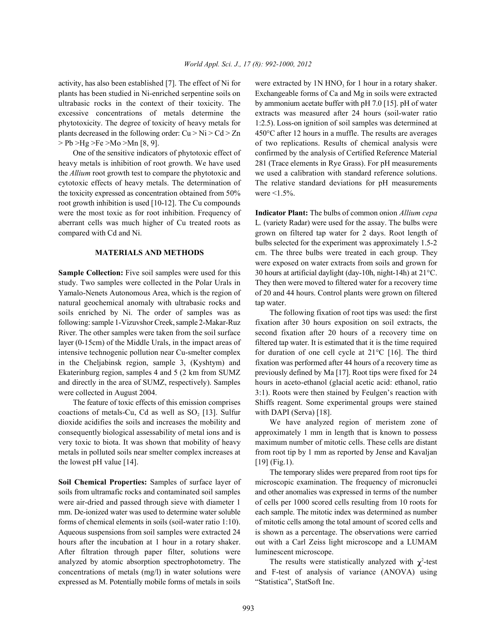plants has been studied in Ni-enriched serpentine soils on Exchangeable forms of Ca and Mg in soils were extracted ultrabasic rocks in the context of their toxicity. The by ammonium acetate buffer with pH 7.0 [15]. pH of water excessive concentrations of metals determine the extracts was measured after 24 hours (soil-water ratio phytotoxicity. The degree of toxicity of heavy metals for 1:2.5). Loss-on ignition of soil samples was determined at plants decreased in the following order:  $Cu > Ni > Cd > Zn$  450°C after 12 hours in a muffle. The results are averages

heavy metals is inhibition of root growth. We have used 281 (Trace elements in Rye Grass). For pH measurements the *Allium* root growth test to compare the phytotoxic and we used a calibration with standard reference solutions. cytotoxic effects of heavy metals. The determination of The relative standard deviations for pH measurements the toxicity expressed as concentration obtained from  $50\%$  were  $\leq 1.5\%$ . root growth inhibition is used [10-12]. The Cu compounds were the most toxic as for root inhibition. Frequency of **Indicator Plant:** The bulbs of common onion *Allium cepa* aberrant cells was much higher of Cu treated roots as L*.* (variety Radar) were used for the assay. The bulbs were compared with Cd and Ni. grown on filtered tap water for 2 days. Root length of

study. Two samples were collected in the Polar Urals in They then were moved to filtered water for a recovery time Yamalo-Nenets Autonomous Area, which is the region of of 20 and 44 hours. Control plants were grown on filtered natural geochemical anomaly with ultrabasic rocks and tap water. soils enriched by Ni. The order of samples was as The following fixation of root tips was used: the first following: sample 1-Vizuvshor Creek, sample 2-Makar-Ruz fixation after 30 hours exposition on soil extracts, the River. The other samples were taken from the soil surface second fixation after 20 hours of a recovery time on layer (0-15cm) of the Middle Urals, in the impact areas of filtered tap water. It is estimated that it is the time required intensive technogenic pollution near Cu-smelter complex for duration of one cell cycle at 21°C [16]. The third in the Cheljabinsk region, sample 3, (Kyshtym) and fixation was performed after 44 hours of a recovery time as Ekaterinburg region, samples 4 and 5 (2 km from SUMZ previously defined by Ma [17]. Root tips were fixed for 24 and directly in the area of SUMZ, respectively). Samples hours in aceto-ethanol (glacial acetic acid: ethanol, ratio were collected in August 2004. 3:1). Roots were then stained by Feulgen's reaction with

coactions of metals-Cu, Cd as well as SO, [13]. Sulfur with DAPI (Serva) [18]. dioxide acidifies the soils and increases the mobility and We have analyzed region of meristem zone of consequently biological assessability of metal ions and is approximately 1 mm in length that is known to possess very toxic to biota. It was shown that mobility of heavy maximum number of mitotic cells. These cells are distant metals in polluted soils near smelter complex increases at from root tip by 1 mm as reported by Jense and Kavaljan the lowest pH value  $[14]$ .  $[19]$  (Fig.1).

soils from ultramafic rocks and contaminated soil samples and other anomalies was expressed in terms of the number were air-dried and passed through sieve with diameter 1 of cells per 1000 scored cells resulting from 10 roots for mm. De-ionized water was used to determine water soluble each sample. The mitotic index was determined as number forms of chemical elements in soils (soil-water ratio 1:10). of mitotic cells among the total amount of scored cells and Aqueous suspensions from soil samples were extracted 24 is shown as a percentage. The observations were carried hours after the incubation at 1 hour in a rotary shaker. out with a Carl Zeiss light microscope and a LUMAM After filtration through paper filter, solutions were luminescent microscope. analyzed by atomic absorption spectrophotometry. The expressed as M. Potentially mobile forms of metals in soils "Statistica", StatSoft Inc.

activity, has also been established [7]. The effect of Ni for were extracted by  $1N HNO<sub>3</sub>$  for 1 hour in a rotary shaker. > Pb >Hg >Fe >Mo >Mn [8, 9]. of two replications. Results of chemical analysis were One of the sensitive indicators of phytotoxic effect of confirmed by the analysis of Certified Reference Material

**MATERIALS AND METHODS** cm. The three bulbs were treated in each group. They **Sample Collection:** Five soil samples were used for this 30 hours at artificial daylight (day-10h, night-14h) at 21<sup>°</sup>C. bulbs selected for the experiment was approximately 1.5-2 were exposed on water extracts from soils and grown for

The feature of toxic effects of this emission comprises Shiffs reagent. Some experimental groups were stained

**Soil Chemical Properties:** Samples of surface layer of microscopic examination. The frequency of micronuclei The temporary slides were prepared from root tips for

concentrations of metals (mg/l) in water solutions were and F-test of analysis of variance (ANOVA) using The results were statistically analyzed with  $\chi^2$ -test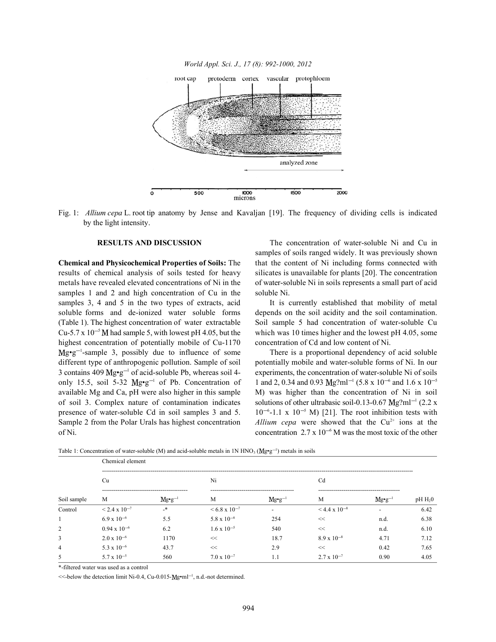

Fig. 1: *Allium cepa* L. root tip anatomy by Jense and Kavaljan [19]. The frequency of dividing cells is indicated by the light intensity.

results of chemical analysis of soils tested for heavy silicates is unavailable for plants [20]. The concentration metals have revealed elevated concentrations of Ni in the of water-soluble Ni in soils represents a small part of acid samples 1 and 2 and high concentration of Cu in the soluble Ni. samples 3, 4 and 5 in the two types of extracts, acid It is currently established that mobility of metal soluble forms and de-ionized water soluble forms depends on the soil acidity and the soil contamination. (Table 1). The highest concentration of water extractable Soil sample 5 had concentration of water-soluble Cu Cu-5.7 x  $10^{-5}$  M had sample 5, with lowest pH 4.05, but the which was 10 times higher and the lowest pH 4.05, some highest concentration of potentially mobile of Cu-1170 concentration of Cd and low content of Ni.  $Mg \cdot g^{-1}$ -sample 3, possibly due to influence of some There is a proportional dependency of acid soluble different type of anthropogenic pollution. Sample of soil potentially mobile and water-soluble forms of Ni. In our 3 contains 409  $Mg\cdot g^{-1}$  of acid-soluble Pb, whereas soil 4- experiments, the concentration of water-soluble Ni of soils only 15.5, soil 5-32  $Mg \cdot g^{-1}$  of Pb. Concentration of available Mg and Ca, pH were also higher in this sample M) was higher than the concentration of Ni in soil of soil 3. Complex nature of contamination indicates solutions of other ultrabasic soil-0.13-0.67 Mg?ml<sup>-1</sup> (2.2 x presence of water-soluble Cd in soil samples 3 and 5.  $10^{-6}$ -1.1 x  $10^{-5}$  M) [21]. The root inhibition tests with Sample 2 from the Polar Urals has highest concentration of Ni. concentration  $2.7 \times 10^{-6}$  M was the most toxic of the other

**RESULTS AND DISCUSSION** The concentration of water-soluble Ni and Cu in **Chemical and Physicochemical Properties of Soils:** The that the content of Ni including forms connected with samples of soils ranged widely. It was previously shown

1 and 2, 0.34 and 0.93 Mg?ml<sup>-1</sup> (5.8 x 10<sup>-6</sup> and 1.6 x 10<sup>-5</sup> Allium cepa were showed that the  $Cu^{2+}$  ions at the

Table 1: Concentration of water-soluble (M) and acid-soluble metals in 1N  $HNO<sub>3</sub> (Mg<sub>°</sub>g<sup>-1</sup>)$  metals in soils

| Soil sample    | Chemical element              |                    |                           |                          |                           |                    |           |  |  |
|----------------|-------------------------------|--------------------|---------------------------|--------------------------|---------------------------|--------------------|-----------|--|--|
|                | Cu                            |                    | Ni                        |                          | Cd                        |                    |           |  |  |
|                | M                             | $Mg\bullet g^{-1}$ | M                         | $Mg\bullet g^{-1}$       | M                         | $Mg\bullet g^{-1}$ | $pH H_20$ |  |  |
| Control        | $\leq$ 2.4 x 10 <sup>-7</sup> | _*                 | $\leq 6.8 \times 10^{-7}$ | $\overline{\phantom{a}}$ | $\leq 4.4 \times 10^{-8}$ |                    | 6.42      |  |  |
|                | $6.9 \times 10^{-6}$          | 5.5                | $5.8 \times 10^{-6}$      | 254                      | <<                        | n.d.               | 6.38      |  |  |
| 2              | $0.94 \times 10^{-6}$         | 6.2                | $1.6 \times 10^{-5}$      | 540                      | $<<$                      | n.d.               | 6.10      |  |  |
| $\overline{3}$ | $2.0 \times 10^{-6}$          | 1170               | <<                        | 18.7                     | $8.9 \times 10^{-8}$      | 4.71               | 7.12      |  |  |
| $\overline{4}$ | 5.3 x $10^{-6}$               | 43.7               | <<                        | 2.9                      | <<                        | 0.42               | 7.65      |  |  |
| 5              | $5.7 \times 10^{-5}$          | 560                | $7.0 \times 10^{-7}$      | 1.1                      | $2.7 \times 10^{-7}$      | 0.90               | 4.05      |  |  |

\*-filtered water was used as a control

 $\le$ -below the detection limit Ni-0.4, Cu-0.015- $Mg \cdot ml^{-1}$ , n.d.-not determined.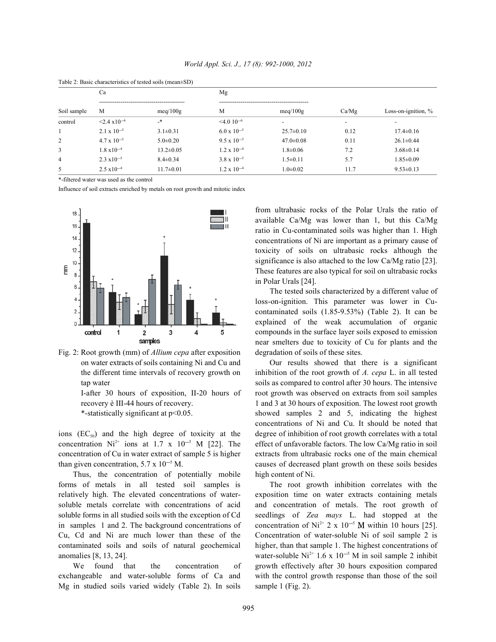|                | Ca                           |                 | Mg                   |                          |                          |                          |  |
|----------------|------------------------------|-----------------|----------------------|--------------------------|--------------------------|--------------------------|--|
| Soil sample    | M<br>meq $/100$ g            |                 | M<br>meq $/100$ g    |                          | Ca/Mg                    | Loss-on-ignition, $\%$   |  |
| control        | $\leq$ 2.4 x10 <sup>-6</sup> | _*              | $\leq 4.0 10^{-6}$   | $\overline{\phantom{a}}$ | $\overline{\phantom{0}}$ | $\overline{\phantom{a}}$ |  |
|                | $2.1 \times 10^{-5}$         | $3.1 \pm 0.31$  | $6.0 \times 10^{-5}$ | $25.7 \pm 0.10$          | 0.12                     | $17.4 \pm 0.16$          |  |
| 2              | $4.7 \times 10^{-5}$         | $5.0 \pm 0.20$  | $9.5 \times 10^{-5}$ | $47.0 \pm 0.08$          | 0.11                     | $26.1 \pm 0.44$          |  |
| 3              | $1.8 \times 10^{-4}$         | $13.2 \pm 0.05$ | $1.2 \times 10^{-4}$ | $1.8 \pm 0.06$           | 7.2                      | $3.68 \pm 0.14$          |  |
| $\overline{4}$ | $2.3 \times 10^{-5}$         | $8.4 \pm 0.34$  | $3.8 \times 10^{-5}$ | $1.5 \pm 0.11$           | 5.7                      | $1.85 \pm 0.09$          |  |
| 5              | $2.5 \times 10^{-4}$         | $11.7 \pm 0.01$ | $1.2 \times 10^{-4}$ | $1.0 \pm 0.02$           | 11.7                     | $9.53 \pm 0.13$          |  |

Table 2: Basic characteristics of tested soils (mean±SD)

\*-filtered water was used as the control

Influence of soil extracts enriched by metals on root growth and mitotic index



Fig. 2: Root growth (mm) of *Allium cepa* after exposition degradation of soils of these sites.

concentration Ni<sup>2+</sup> ions at 1.7 x 10<sup>-5</sup> M [22]. The effect of unfavorable factors. The low Ca/Mg ratio in soil concentration of Cu in water extract of sample 5 is higher extracts from ultrabasic rocks one of the main chemical

Thus, the concentration of potentially mobile high content of Ni. forms of metals in all tested soil samples is The root growth inhibition correlates with the relatively high. The elevated concentrations of water- exposition time on water extracts containing metals soluble metals correlate with concentrations of acid and concentration of metals. The root growth of soluble forms in all studied soils with the exception of Cd seedlings of *Zea mays* L. had stopped at the in samples 1 and 2. The background concentrations of concentration of  $Ni^{2+}$  2 x  $10^{-5}$  M within 10 hours [25]. Cu, Cd and Ni are much lower than these of the Concentration of water-soluble Ni of soil sample 2 is contaminated soils and soils of natural geochemical higher, than that sample 1. The highest concentrations of

exchangeable and water-soluble forms of Ca and with the control growth response than those of the soil Mg in studied soils varied widely (Table 2). In soils sample 1 (Fig. 2).

from ultrabasic rocks of the Polar Urals the ratio of available Ca/Mg was lower than 1, but this Ca/Mg ratio in Cu-contaminated soils was higher than 1. High concentrations of Ni are important as a primary cause of toxicity of soils on ultrabasic rocks although the significance is also attached to the low Ca/Mg ratio [23]. These features are also typical for soil on ultrabasic rocks in Polar Urals [24].

The tested soils characterized by a different value of loss-on-ignition. This parameter was lower in Cucontaminated soils (1.85-9.53%) (Table 2). It can be explained of the weak accumulation of organic compounds in the surface layer soils exposed to emission near smelters due to toxicity of Cu for plants and the

on water extracts of soils containing Ni and Cu and Our results showed that there is a significant the different time intervals of recovery growth on inhibition of the root growth of *A. cepa* L. in all tested tap water soils as compared to control after 30 hours. The intensive I-after 30 hours of exposition, II-20 hours of root growth was observed on extracts from soil samples recovery è III-44 hours of recovery. 1 and 3 at 30 hours of exposition. The lowest root growth \*-statistically significant at p<0.05. showed samples 2 and 5, indicating the highest ions  $(EC_{50})$  and the high degree of toxicity at the degree of inhibition of root growth correlates with a total than given concentration,  $5.7 \times 10^{-5}$  M. causes of decreased plant growth on these soils besides concentrations of Ni and Cu. It should be noted that

anomalies [8, 13, 24]. water-soluble  $Ni^{2+}$  1.6 x  $10^{-5}$  M in soil sample 2 inhibit We found that the concentration of growth effectively after 30 hours exposition compared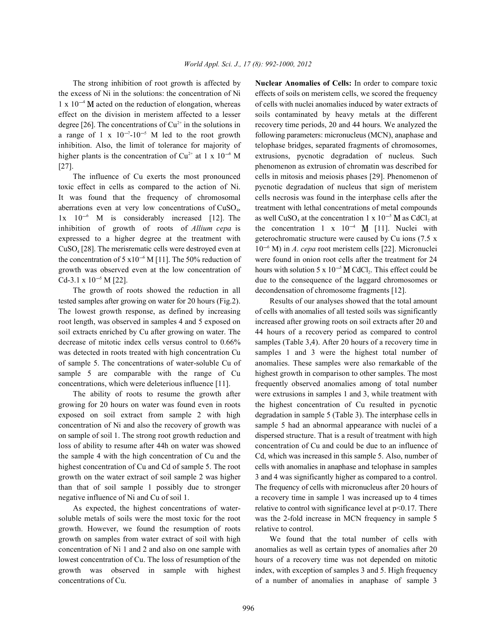the excess of Ni in the solutions: the concentration of Ni effects of soils on meristem cells, we scored the frequency  $1 \times 10^{-4}$  M acted on the reduction of elongation, whereas of cells with nuclei anomalies induced by water extracts of effect on the division in meristem affected to a lesser soils contaminated by heavy metals at the different degree [26]. The concentrations of  $Cu^{2+}$  in the solutions in recovery time periods, 20 and 44 hours. We analyzed the a range of 1 x  $10^{-7} \text{--}10^{-5}$  M led to the root growth following parameters: micronucleus (MCN), anaphase and inhibition. Also, the limit of tolerance for majority of telophase bridges, separated fragments of chromosomes, higher plants is the concentration of Cu<sup>2+</sup> at 1 x 10<sup>-6</sup> M extrusions, pycnotic degradation of nucleus. Such [27]. phenomenon as extrusion of chromatin was described for

toxic effect in cells as compared to the action of Ni. pycnotic degradation of nucleus that sign of meristem It was found that the frequency of chromosomal cells necrosis was found in the interphase cells after the aberrations even at very low concentrations of  $CuSO<sub>4</sub>$ , treatment with lethal concentrations of metal compounds  $1x$   $10^{-6}$  M is considerably increased [12]. The inhibition of growth of roots of *Allium cepa* is the concentration  $1 \times 10^{-4}$  M [11]. Nuclei with expressed to a higher degree at the treatment with geterochromatic structure were caused by Cu ions (7.5 x CuSO<sub>4</sub> [28]. The merisrematic cells were destroyed even at  $10^{-6}$  M) in *A. cepa* root meristem cells [22]. Micronuclei the concentration of 5 x10<sup>-6</sup> M [11]. The 50% reduction of were found in onion root cells after the treatment for 24 growth was observed even at the low concentration of hours with solution  $5 \times 10^{-5}$  M CdCl<sub>2</sub>. This effect could be Cd-3.1 x  $10^{-5}$  M [22].

The growth of roots showed the reduction in all decondensation of chromosome fragments [12]. tested samples after growing on water for 20 hours (Fig.2). Results of our analyses showed that the total amount The lowest growth response, as defined by increasing of cells with anomalies of all tested soils was significantly root length, was observed in samples 4 and 5 exposed on increased after growing roots on soil extracts after 20 and soil extracts enriched by Cu after growing on water. The 44 hours of a recovery period as compared to control decrease of mitotic index cells versus control to 0.66% samples (Table 3,4). After 20 hours of a recovery time in was detected in roots treated with high concentration Cu samples 1 and 3 were the highest total number of of sample 5. The concentrations of water-soluble Cu of anomalies. These samples were also remarkable of the sample 5 are comparable with the range of Cu highest growth in comparison to other samples. The most

growing for 20 hours on water was found even in roots the highest concentration of Cu resulted in pycnotic exposed on soil extract from sample 2 with high degradation in sample 5 (Table 3). The interphase cells in concentration of Ni and also the recovery of growth was sample 5 had an abnormal appearance with nuclei of a on sample of soil 1. The strong root growth reduction and dispersed structure. That is a result of treatment with high loss of ability to resume after 44h on water was showed concentration of Cu and could be due to an influence of the sample 4 with the high concentration of Cu and the Cd, which was increased in this sample 5. Also, number of highest concentration of Cu and Cd of sample 5. The root cells with anomalies in anaphase and telophase in samples growth on the water extract of soil sample 2 was higher 3 and 4 was significantly higher as compared to a control. than that of soil sample 1 possibly due to stronger The frequency of cells with micronucleus after 20 hours of

soluble metals of soils were the most toxic for the root was the 2-fold increase in MCN frequency in sample 5 growth. However, we found the resumption of roots relative to control. growth on samples from water extract of soil with high We found that the total number of cells with concentration of Ni 1 and 2 and also on one sample with anomalies as well as certain types of anomalies after 20 lowest concentration of Cu. The loss of resumption of the hours of a recovery time was not depended on mitotic growth was observed in sample with highest index, with exception of samples 3 and 5. High frequency concentrations of Cu. of a number of anomalies in anaphase of sample 3

The strong inhibition of root growth is affected by **Nuclear Anomalies of Cells:** In order to compare toxic The influence of Cu exerts the most pronounced cells in mitosis and meiosis phases [29]. Phenomenon of 4 at the concentration 1 x  $10^{-5}$  M as CdCl<sub>2</sub>

concentrations, which were deleterious influence [11]. frequently observed anomalies among of total number The ability of roots to resume the growth after were extrusions in samples 1 and 3, while treatment with negative influence of Ni and Cu of soil 1. a recovery time in sample 1 was increased up to 4 times As expected, the highest concentrations of water-<br>relative to control with significance level at p<0.17. There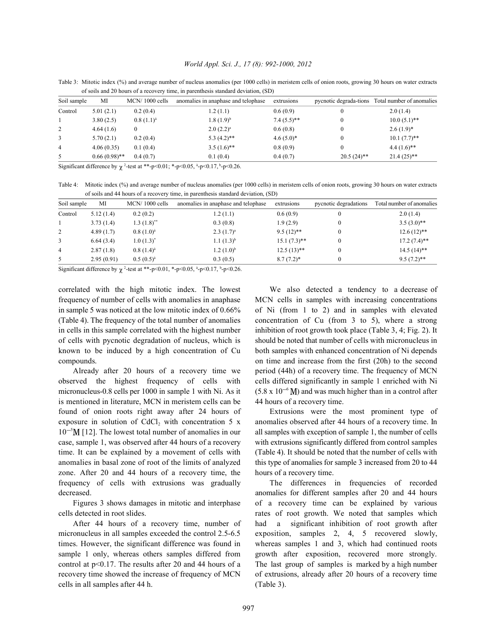Table 3: Mitotic index (%) and average number of nucleus anomalies (per 1000 cells) in meristem cells of onion roots, growing 30 hours on water extracts of soils and 20 hours of a recovery time, in parenthesis standard deviation, (SD)

| Soil sample | МІ              | $MCN/1000$ cells | anomalies in anaphase and telophase | extrusions    |               | pycnotic degrada-tions Total number of anomalies |
|-------------|-----------------|------------------|-------------------------------------|---------------|---------------|--------------------------------------------------|
| Control     | 5.01(2.1)       | 0.2(0.4)         | 1.2(1.1)                            | 0.6(0.9)      |               | 2.0(1.4)                                         |
|             | 3.80(2.5)       | $0.8(1.1)^{a}$   | $1.8(1.9)^{b}$                      | $7.4(5.5)$ ** |               | $10.0(5.1)$ **                                   |
| 2           | 4.64(1.6)       |                  | $2.0 (2.2)^a$                       | 0.6(0.8)      |               | $2.6(1.9)*$                                      |
| 3           | 5.70(2.1)       | 0.2(0.4)         | $5.3(4.2)$ **                       | $4.6(5.0)*$   |               | $10.1(7.7)$ **                                   |
| 4           | 4.06(0.35)      | 0.1(0.4)         | $3.5(1.6)$ **                       | 0.8(0.9)      |               | $4.4(1.6)$ **                                    |
| 5           | $0.66(0.98)$ ** | 0.4(0.7)         | 0.1(0.4)                            | 0.4(0.7)      | $20.5(24)$ ** | $21.4(25)$ **                                    |

Significant difference by  $\chi$  <sup>2</sup>-test at \*\*-p<0.01; \*-p<0.05,  $\frac{a}{2}$ -p<0.17,  $\frac{b}{2}$ -p<0.26.

Table 4: Mitotic index (%) and average number of nucleus anomalies (per 1000 cells) in meristem cells of onion roots, growing 30 hours on water extracts of soils and 44 hours of a recovery time, in parenthesis standard deviation, (SD)

| Soil sample    | МI         | MCN/1000 cells           | anomalies in anaphase and telophase | extrusions     | pycnotic degradations | Total number of anomalies |
|----------------|------------|--------------------------|-------------------------------------|----------------|-----------------------|---------------------------|
| Control        | 5.12(1.4)  | 0.2(0.2)                 | 1.2(1.1)                            | 0.6(0.9)       |                       | 2.0(1.4)                  |
|                | 3.73(1.4)  | $1.3(1.8)$ <sup>**</sup> | 0.3(0.8)                            | 1.9(2.9)       |                       | $3.5(3.0)$ **             |
| 2              | 4.89(1.7)  | $0.8(1.0)^{a}$           | $2.3(1.7)^a$                        | $9.5(12)$ **   |                       | $12.6(12)$ **             |
| 3              | 6.64(3.4)  | $1.0(1.3)^*$             | $1.1(1.3)^{b}$                      | $15.1(7.3)$ ** |                       | $17.2(7.4)$ **            |
| $\overline{4}$ | 2.87(1.8)  | $0.8(1.4)^{a}$           | $1.2 (1.0)^{b}$                     | $12.5(13)$ **  |                       | $14.5(14)$ **             |
| 5              | 2.95(0.91) | $0.5(0.5)^{a}$           | 0.3(0.5)                            | $8.7(7.2)^*$   |                       | $9.5(7.2)$ **             |

Significant difference by  $\chi$  <sup>2</sup>-test at \*\*-p<0.01, \*-p<0.05,  $\frac{a}{2}$ -p<0.17,  $\frac{b}{2}$ -p<0.26.

correlated with the high mitotic index. The lowest We also detected a tendency to a decrease of frequency of number of cells with anomalies in anaphase MCN cells in samples with increasing concentrations in sample 5 was noticed at the low mitotic index of 0.66% of Ni (from 1 to 2) and in samples with elevated (Table 4). The frequency of the total number of anomalies concentration of Cu (from 3 to 5), where a strong in cells in this sample correlated with the highest number inhibition of root growth took place (Table 3, 4; Fig. 2). It of cells with pycnotic degradation of nucleus, which is should be noted that number of cells with micronucleus in known to be induced by a high concentration of Cu both samples with enhanced concentration of Ni depends compounds. on time and increase from the first (20h) to the second

observed the highest frequency of cells with cells differed significantly in sample 1 enriched with Ni micronucleus-0.8 cells per 1000 in sample 1 with Ni. As it is mentioned in literature, MCN in meristem cells can be 44 hours of a recovery time. found of onion roots right away after 24 hours of Extrusions were the most prominent type of exposure in solution of CdCl<sub>2</sub> with concentration 5 x anomalies observed after 44 hours of a recovery time. In  $10^{-5}$ M [12]. The lowest total number of anomalies in our all samples with exception of sample 1, the number of cells case, sample 1, was observed after 44 hours of a recovery with extrusions significantly differed from control samples time. It can be explained by a movement of cells with (Table 4). It should be noted that the number of cells with anomalies in basal zone of root of the limits of analyzed this type of anomalies for sample 3 increased from 20 to 44 zone. After 20 and 44 hours of a recovery time, the hours of a recovery time. frequency of cells with extrusions was gradually The differences in frequencies of recorded

cells detected in root slides. The rates of root growth. We noted that samples which

micronucleus in all samples exceeded the control 2.5-6.5 exposition, samples 2, 4, 5 recovered slowly, times. However, the significant difference was found in whereas samples 1 and 3, which had continued roots sample 1 only, whereas others samples differed from growth after exposition, recovered more strongly. control at p<0.17. The results after 20 and 44 hours of a The last group of samples is marked by a high number recovery time showed the increase of frequency of MCN of extrusions, already after 20 hours of a recovery time cells in all samples after 44 h. (Table 3).

Already after 20 hours of a recovery time we period (44h) of a recovery time. The frequency of MCN  $(5.8 \times 10^{-6} \text{ M})$  and was much higher than in a control after

decreased. anomalies for different samples after 20 and 44 hours Figures 3 shows damages in mitotic and interphase of a recovery time can be explained by various After 44 hours of a recovery time, number of had a significant inhibition of root growth after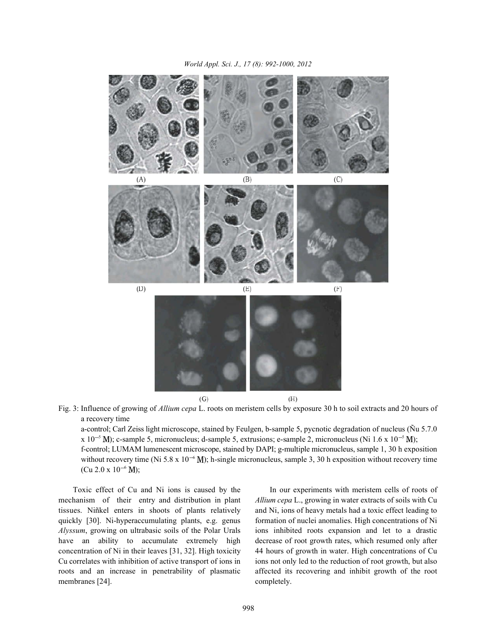

Fig. 3: Influence of growing of *Allium cepa* L. roots on meristem cells by exposure 30 h to soil extracts and 20 hours of a recovery time

a-control; Carl Zeiss light microscope, stained by Feulgen, b-sample 5, pycnotic degradation of nucleus (Ñu 5.7.0 x 10<sup>-5</sup> M); c-sample 5, micronucleus; d-sample 5, extrusions; e-sample 2, micronucleus (Ni 1.6 x 10<sup>-5</sup> M); f-control; LUMAM lumenescent microscope, stained by DAPI; g-multiple micronucleus, sample 1, 30 h exposition without recovery time (Ni 5.8 x  $10^{-6}$  M); h-single micronucleus, sample 3, 30 h exposition without recovery time  $(Cu 2.0 x 10^{-6} M);$ 

mechanism of their entry and distribution in plant *Allium cepa* L., growing in water extracts of soils with Cu tissues. Niñkel enters in shoots of plants relatively and Ni, ions of heavy metals had a toxic effect leading to quickly [30]. Ni-hyperaccumulating plants, e.g. genus formation of nuclei anomalies. High concentrations of Ni *Alyssum*, growing on ultrabasic soils of the Polar Urals ions inhibited roots expansion and let to a drastic have an ability to accumulate extremely high decrease of root growth rates, which resumed only after concentration of Ni in their leaves [31, 32]. High toxicity 44 hours of growth in water. High concentrations of Cu Cu correlates with inhibition of active transport of ions in ions not only led to the reduction of root growth, but also roots and an increase in penetrability of plasmatic affected its recovering and inhibit growth of the root membranes [24]. completely.

Toxic effect of Cu and Ni ions is caused by the In our experiments with meristem cells of roots of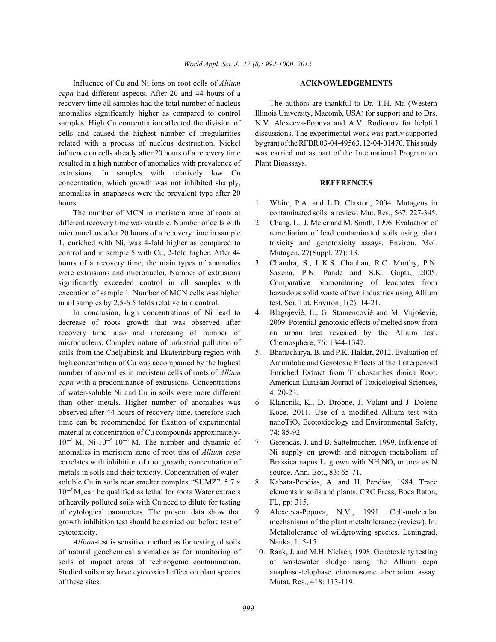Influence of Cu and Ni ions on root cells of *Aliium* **ACKNOWLEDGEMENTS** *cepa* had different aspects. After 20 and 44 hours of a recovery time all samples had the total number of nucleus The authors are thankful to Dr. T.H. Ma (Western anomalies significantly higher as compared to control Illinois University, Macomb, USA) for support and to Drs. samples. High Cu concentration affected the division of N.V. Alexeeva-Popova and A.V. Rodionov for helpful cells and caused the highest number of irregularities discussions. The experimental work was partly supported related with a process of nucleus destruction. Nickel by grant of the RFBR 03-04-49563, 12-04-01470. This study influence on cells already after 20 hours of a recovery time was carried out as part of the International Program on resulted in a high number of anomalies with prevalence of Plant Bioassays. extrusions. In samples with relatively low Cu concentration, which growth was not inhibited sharply, **REFERENCES** anomalies in anaphases were the prevalent type after 20 hours. **1.** White, P.A. and L.D. Claxton, 2004. Mutagens in

different recovery time was variable. Number of cells with 2. Chang, L., J. Meier and M. Smith, 1996. Evaluation of micronucleus after 20 hours of a recovery time in sample remediation of lead contaminated soils using plant 1, enriched with Ni, was 4-fold higher as compared to toxicity and genotoxicity assays. Environ. Mol. control and in sample 5 with Cu, 2-fold higher. After 44 Mutagen, 27(Suppl. 27): 13. hours of a recovery time, the main types of anomalies 3. Chandra, S., L.K.S. Chauhan, R.C. Murthy, P.N. were extrusions and micronuclei. Number of extrusions Saxena, P.N. Pande and S.K. Gupta, 2005. significantly exceeded control in all samples with Comparative biomonitoring of leachates from exception of sample 1. Number of MCN cells was higher hazardous solid waste of two industries using Allium in all samples by 2.5-6.5 folds relative to a control. test. Sci. Tot. Environ, 1(2): 14-21.

decrease of roots growth that was observed after 2009. Potential genotoxic effects of melted snow from recovery time also and increasing of number of an urban area revealed by the Allium test. micronucleus. Complex nature of industrial pollution of Chemosphere, 76: 1344-1347. soils from the Cheljabinsk and Ekaterinburg region with 5. Bhattacharya, B. and P.K. Haldar, 2012. Evaluation of high concentration of Cu was accompanied by the highest Antimitotic and Genotoxic Effects of the Triterpenoid number of anomalies in meristem cells of roots of *Allium* Enriched Extract from Trichosanthes dioica Root. *cepa* with a predominance of extrusions. Concentrations American-Eurasian Journal of Toxicological Sciences, of water-soluble Ni and Cu in soils were more different 4: 20-23. than other metals. Higher number of anomalies was 6. Klancnik, K., D. Drobne, J. Valant and J. Dolenc observed after 44 hours of recovery time, therefore such Koce, 2011. Use of a modified Allium test with time can be recommended for fixation of experimental material at concentration of Cu compounds approximately- 74: 85-92  $10^{-6}$  M, Ni- $10^{-5}$ -10<sup>-6</sup> M. The number and dynamic of 7. Gerendás, J. and B. Sattelmacher, 1999. Influence of anomalies in meristem zone of root tips of *Allium cepa* Ni supply on growth and nitrogen metabolism of correlates with inhibition of root growth, concentration of Brassica napus L. grown with  $NH<sub>4</sub>NO<sub>3</sub>$  or urea as N metals in soils and their toxicity. Concentration of water- source. Ann. Bot., 83: 65-71. soluble Cu in soils near smelter complex "SUMZ", 5.7 x 8. Kabata-Pendias, A. and H. Pendias, 1984. Trace  $10^{-5}$  M, can be qualified as lethal for roots Water extracts of heavily polluted soils with Cu need to dilute for testing FL, pp: 315. of cytological parameters. The present data show that 9. Alexeeva-Popova, N.V., 1991. Cell-molecular growth inhibition test should be carried out before test of mechanisms of the plant metaltolerance (review). In: cytotoxicity. Metaltolerance of wildgrowing species. Leningrad,

*Allium*-test is sensitive method as for testing of soils Nauka, 1: 5-15. of natural geochemical anomalies as for monitoring of 10. Rank, J. and M.H. Nielsen, 1998. Genotoxicity testing soils of impact areas of technogenic contamination. of wastewater sludge using the Allium cepa Studied soils may have cytotoxical effect on plant species anaphase-telophase chromosome aberration assay. of these sites. Mutat. Res., 418: 113-119.

- The number of MCN in meristem zone of roots at contaminated soils: a review. Mut. Res., 567: 227-345.
	-
	-
- In conclusion, high concentrations of Ni lead to 4. Blagojeviè, E., G. Stamencoviè and M. Vujoševiè,
	-
	- nanoTiO<sub>2</sub> Ecotoxicology and Environmental Safety,
	-
	- elements in soils and plants. CRC Press, Boca Raton,
	-
	-